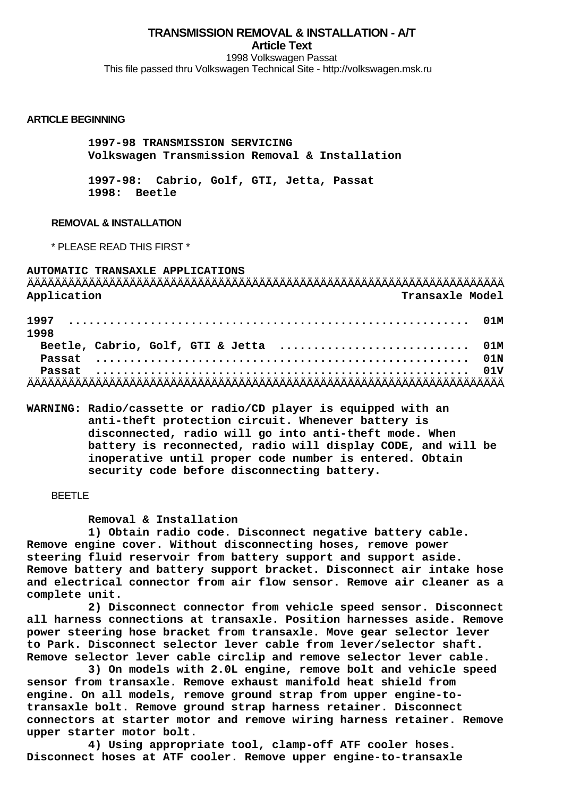**TRANSMISSION REMOVAL & INSTALLATION - A/T Article Text**

1998 Volkswagen Passat This file passed thru Volkswagen Technical Site - http://volkswagen.msk.ru

#### **ARTICLE BEGINNING**

 **1997-98 TRANSMISSION SERVICING Volkswagen Transmission Removal & Installation**

 **1997-98: Cabrio, Golf, GTI, Jetta, Passat 1998: Beetle**

# **REMOVAL & INSTALLATION**

\* PLEASE READ THIS FIRST \*

| AUTOMATIC TRANSAXLE APPLICATIONS<br>Application |  |  | Transaxle Model                        |  |
|-------------------------------------------------|--|--|----------------------------------------|--|
| 1998                                            |  |  |                                        |  |
|                                                 |  |  | Beetle, Cabrio, Golf, GTI & Jetta  01M |  |
|                                                 |  |  |                                        |  |
|                                                 |  |  |                                        |  |
|                                                 |  |  |                                        |  |

**WARNING: Radio/cassette or radio/CD player is equipped with an anti-theft protection circuit. Whenever battery is disconnected, radio will go into anti-theft mode. When battery is reconnected, radio will display CODE, and will be inoperative until proper code number is entered. Obtain security code before disconnecting battery.**

BEETLE

 **Removal & Installation**

 **1) Obtain radio code. Disconnect negative battery cable. Remove engine cover. Without disconnecting hoses, remove power steering fluid reservoir from battery support and support aside. Remove battery and battery support bracket. Disconnect air intake hose and electrical connector from air flow sensor. Remove air cleaner as a complete unit.**

 **2) Disconnect connector from vehicle speed sensor. Disconnect all harness connections at transaxle. Position harnesses aside. Remove power steering hose bracket from transaxle. Move gear selector lever to Park. Disconnect selector lever cable from lever/selector shaft. Remove selector lever cable circlip and remove selector lever cable.**

 **3) On models with 2.0L engine, remove bolt and vehicle speed sensor from transaxle. Remove exhaust manifold heat shield from engine. On all models, remove ground strap from upper engine-totransaxle bolt. Remove ground strap harness retainer. Disconnect connectors at starter motor and remove wiring harness retainer. Remove upper starter motor bolt.**

 **4) Using appropriate tool, clamp-off ATF cooler hoses. Disconnect hoses at ATF cooler. Remove upper engine-to-transaxle**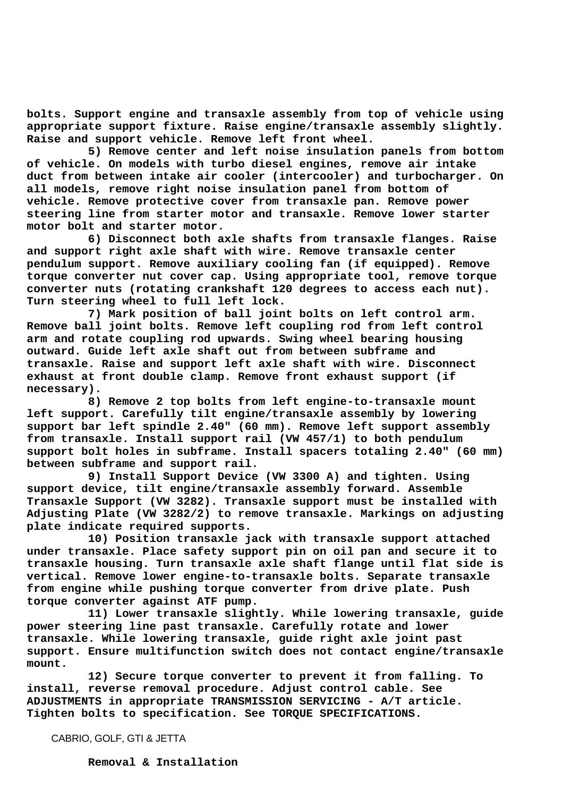**bolts. Support engine and transaxle assembly from top of vehicle using appropriate support fixture. Raise engine/transaxle assembly slightly. Raise and support vehicle. Remove left front wheel.**

 **5) Remove center and left noise insulation panels from bottom of vehicle. On models with turbo diesel engines, remove air intake duct from between intake air cooler (intercooler) and turbocharger. On all models, remove right noise insulation panel from bottom of vehicle. Remove protective cover from transaxle pan. Remove power steering line from starter motor and transaxle. Remove lower starter motor bolt and starter motor.**

 **6) Disconnect both axle shafts from transaxle flanges. Raise and support right axle shaft with wire. Remove transaxle center pendulum support. Remove auxiliary cooling fan (if equipped). Remove torque converter nut cover cap. Using appropriate tool, remove torque converter nuts (rotating crankshaft 120 degrees to access each nut). Turn steering wheel to full left lock.**

 **7) Mark position of ball joint bolts on left control arm. Remove ball joint bolts. Remove left coupling rod from left control arm and rotate coupling rod upwards. Swing wheel bearing housing outward. Guide left axle shaft out from between subframe and transaxle. Raise and support left axle shaft with wire. Disconnect exhaust at front double clamp. Remove front exhaust support (if necessary).**

 **8) Remove 2 top bolts from left engine-to-transaxle mount left support. Carefully tilt engine/transaxle assembly by lowering support bar left spindle 2.40" (60 mm). Remove left support assembly from transaxle. Install support rail (VW 457/1) to both pendulum support bolt holes in subframe. Install spacers totaling 2.40" (60 mm) between subframe and support rail.**

 **9) Install Support Device (VW 3300 A) and tighten. Using support device, tilt engine/transaxle assembly forward. Assemble Transaxle Support (VW 3282). Transaxle support must be installed with Adjusting Plate (VW 3282/2) to remove transaxle. Markings on adjusting plate indicate required supports.**

 **10) Position transaxle jack with transaxle support attached under transaxle. Place safety support pin on oil pan and secure it to transaxle housing. Turn transaxle axle shaft flange until flat side is vertical. Remove lower engine-to-transaxle bolts. Separate transaxle from engine while pushing torque converter from drive plate. Push torque converter against ATF pump.**

 **11) Lower transaxle slightly. While lowering transaxle, guide power steering line past transaxle. Carefully rotate and lower transaxle. While lowering transaxle, guide right axle joint past support. Ensure multifunction switch does not contact engine/transaxle mount.**

 **12) Secure torque converter to prevent it from falling. To install, reverse removal procedure. Adjust control cable. See ADJUSTMENTS in appropriate TRANSMISSION SERVICING - A/T article. Tighten bolts to specification. See TORQUE SPECIFICATIONS.**

CABRIO, GOLF, GTI & JETTA

 **Removal & Installation**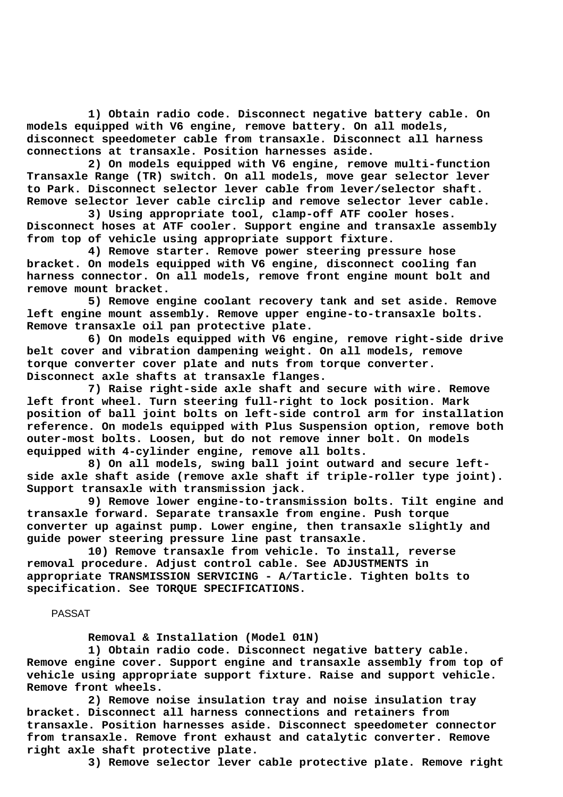**1) Obtain radio code. Disconnect negative battery cable. On models equipped with V6 engine, remove battery. On all models, disconnect speedometer cable from transaxle. Disconnect all harness connections at transaxle. Position harnesses aside.**

 **2) On models equipped with V6 engine, remove multi-function Transaxle Range (TR) switch. On all models, move gear selector lever to Park. Disconnect selector lever cable from lever/selector shaft. Remove selector lever cable circlip and remove selector lever cable.**

 **3) Using appropriate tool, clamp-off ATF cooler hoses. Disconnect hoses at ATF cooler. Support engine and transaxle assembly from top of vehicle using appropriate support fixture.**

 **4) Remove starter. Remove power steering pressure hose bracket. On models equipped with V6 engine, disconnect cooling fan harness connector. On all models, remove front engine mount bolt and remove mount bracket.**

 **5) Remove engine coolant recovery tank and set aside. Remove left engine mount assembly. Remove upper engine-to-transaxle bolts. Remove transaxle oil pan protective plate.**

 **6) On models equipped with V6 engine, remove right-side drive belt cover and vibration dampening weight. On all models, remove torque converter cover plate and nuts from torque converter. Disconnect axle shafts at transaxle flanges.**

 **7) Raise right-side axle shaft and secure with wire. Remove left front wheel. Turn steering full-right to lock position. Mark position of ball joint bolts on left-side control arm for installation reference. On models equipped with Plus Suspension option, remove both outer-most bolts. Loosen, but do not remove inner bolt. On models equipped with 4-cylinder engine, remove all bolts.**

 **8) On all models, swing ball joint outward and secure leftside axle shaft aside (remove axle shaft if triple-roller type joint). Support transaxle with transmission jack.**

 **9) Remove lower engine-to-transmission bolts. Tilt engine and transaxle forward. Separate transaxle from engine. Push torque converter up against pump. Lower engine, then transaxle slightly and guide power steering pressure line past transaxle.**

 **10) Remove transaxle from vehicle. To install, reverse removal procedure. Adjust control cable. See ADJUSTMENTS in appropriate TRANSMISSION SERVICING - A/Tarticle. Tighten bolts to specification. See TORQUE SPECIFICATIONS.**

## PASSAT

 **Removal & Installation (Model 01N)**

 **1) Obtain radio code. Disconnect negative battery cable. Remove engine cover. Support engine and transaxle assembly from top of vehicle using appropriate support fixture. Raise and support vehicle. Remove front wheels.**

 **2) Remove noise insulation tray and noise insulation tray bracket. Disconnect all harness connections and retainers from transaxle. Position harnesses aside. Disconnect speedometer connector from transaxle. Remove front exhaust and catalytic converter. Remove right axle shaft protective plate.**

 **3) Remove selector lever cable protective plate. Remove right**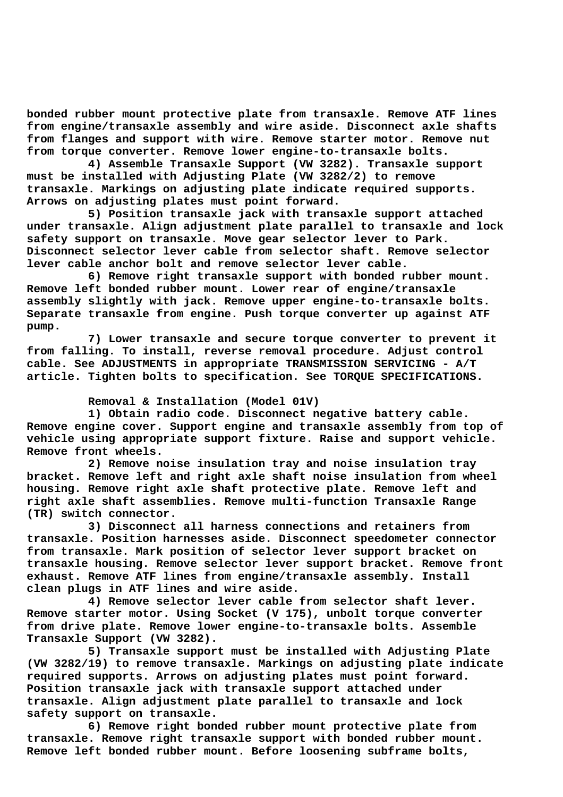**bonded rubber mount protective plate from transaxle. Remove ATF lines from engine/transaxle assembly and wire aside. Disconnect axle shafts from flanges and support with wire. Remove starter motor. Remove nut from torque converter. Remove lower engine-to-transaxle bolts.**

 **4) Assemble Transaxle Support (VW 3282). Transaxle support must be installed with Adjusting Plate (VW 3282/2) to remove transaxle. Markings on adjusting plate indicate required supports. Arrows on adjusting plates must point forward.**

 **5) Position transaxle jack with transaxle support attached under transaxle. Align adjustment plate parallel to transaxle and lock safety support on transaxle. Move gear selector lever to Park. Disconnect selector lever cable from selector shaft. Remove selector lever cable anchor bolt and remove selector lever cable.**

 **6) Remove right transaxle support with bonded rubber mount. Remove left bonded rubber mount. Lower rear of engine/transaxle assembly slightly with jack. Remove upper engine-to-transaxle bolts. Separate transaxle from engine. Push torque converter up against ATF pump.**

 **7) Lower transaxle and secure torque converter to prevent it from falling. To install, reverse removal procedure. Adjust control cable. See ADJUSTMENTS in appropriate TRANSMISSION SERVICING - A/T article. Tighten bolts to specification. See TORQUE SPECIFICATIONS.**

## **Removal & Installation (Model 01V)**

 **1) Obtain radio code. Disconnect negative battery cable. Remove engine cover. Support engine and transaxle assembly from top of vehicle using appropriate support fixture. Raise and support vehicle. Remove front wheels.**

 **2) Remove noise insulation tray and noise insulation tray bracket. Remove left and right axle shaft noise insulation from wheel housing. Remove right axle shaft protective plate. Remove left and right axle shaft assemblies. Remove multi-function Transaxle Range (TR) switch connector.**

 **3) Disconnect all harness connections and retainers from transaxle. Position harnesses aside. Disconnect speedometer connector from transaxle. Mark position of selector lever support bracket on transaxle housing. Remove selector lever support bracket. Remove front exhaust. Remove ATF lines from engine/transaxle assembly. Install clean plugs in ATF lines and wire aside.**

 **4) Remove selector lever cable from selector shaft lever. Remove starter motor. Using Socket (V 175), unbolt torque converter from drive plate. Remove lower engine-to-transaxle bolts. Assemble Transaxle Support (VW 3282).**

 **5) Transaxle support must be installed with Adjusting Plate (VW 3282/19) to remove transaxle. Markings on adjusting plate indicate required supports. Arrows on adjusting plates must point forward. Position transaxle jack with transaxle support attached under transaxle. Align adjustment plate parallel to transaxle and lock safety support on transaxle.**

 **6) Remove right bonded rubber mount protective plate from transaxle. Remove right transaxle support with bonded rubber mount. Remove left bonded rubber mount. Before loosening subframe bolts,**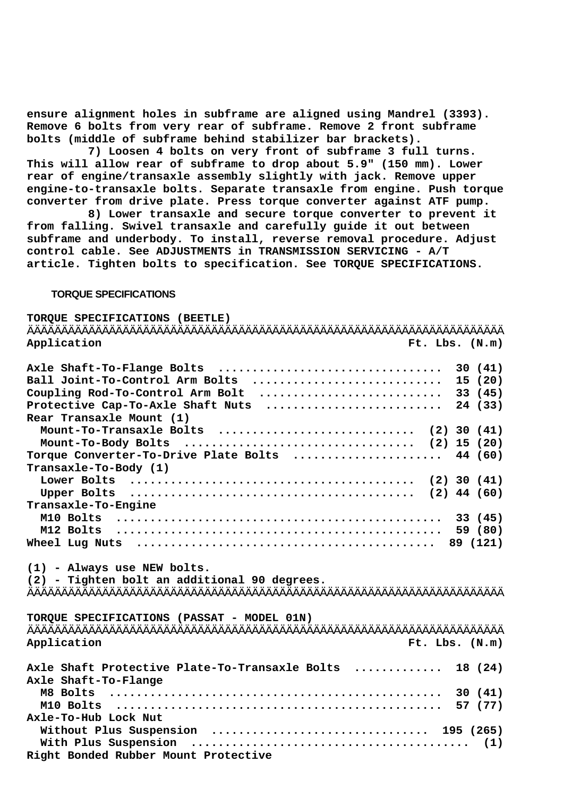**ensure alignment holes in subframe are aligned using Mandrel (3393). Remove 6 bolts from very rear of subframe. Remove 2 front subframe bolts (middle of subframe behind stabilizer bar brackets).**

 **7) Loosen 4 bolts on very front of subframe 3 full turns. This will allow rear of subframe to drop about 5.9" (150 mm). Lower rear of engine/transaxle assembly slightly with jack. Remove upper engine-to-transaxle bolts. Separate transaxle from engine. Push torque converter from drive plate. Press torque converter against ATF pump.**

 **8) Lower transaxle and secure torque converter to prevent it from falling. Swivel transaxle and carefully guide it out between subframe and underbody. To install, reverse removal procedure. Adjust control cable. See ADJUSTMENTS in TRANSMISSION SERVICING - A/T article. Tighten bolts to specification. See TORQUE SPECIFICATIONS.**

## **TORQUE SPECIFICATIONS**

| TORQUE SPECIFICATIONS (BEETLE)                                                              |
|---------------------------------------------------------------------------------------------|
| Application<br>Ft. Lbs. (N.m)                                                               |
| Axle Shaft-To-Flange Bolts<br>30(41)<br>Ball Joint-To-Control Arm Bolts<br>15(20)           |
| Coupling Rod-To-Control Arm Bolt<br>33 (45)                                                 |
| 24 (33)<br>Protective Cap-To-Axle Shaft Nuts                                                |
| Rear Transaxle Mount (1)                                                                    |
| Mount-To-Transaxle Bolts  (2) 30 (41)                                                       |
|                                                                                             |
| Torque Converter-To-Drive Plate Bolts  44 (60)                                              |
| Transaxle-To-Body (1)                                                                       |
|                                                                                             |
|                                                                                             |
| Transaxle-To-Engine                                                                         |
|                                                                                             |
|                                                                                             |
| Wheel Lug Nuts $\dots\dots\dots\dots\dots\dots\dots\dots\dots\dots\dots\dots\dots$ 89 (121) |
|                                                                                             |
| (1) - Always use NEW bolts.                                                                 |
| (2) - Tighten bolt an additional 90 degrees.                                                |
|                                                                                             |
| TORQUE SPECIFICATIONS (PASSAT - MODEL 01N)                                                  |
|                                                                                             |
| Application<br>Ft. Lbs. (N.m)                                                               |
| Axle Shaft Protective Plate-To-Transaxle Bolts  18 (24)                                     |
| Axle Shaft-To-Flange                                                                        |
|                                                                                             |
|                                                                                             |
| Axle-To-Hub Lock Nut                                                                        |
| Without Plus Suspension  195 (265)                                                          |
|                                                                                             |
| Right Bonded Rubber Mount Protective                                                        |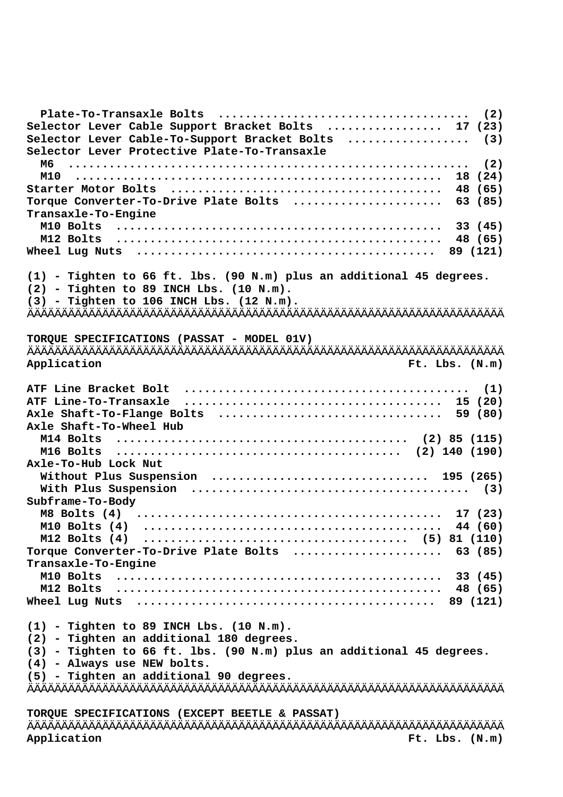| Selector Lever Cable Support Bracket Bolts  17 (23)                                         |
|---------------------------------------------------------------------------------------------|
| Selector Lever Cable-To-Support Bracket Bolts  (3)                                          |
| Selector Lever Protective Plate-To-Transaxle                                                |
| м6                                                                                          |
|                                                                                             |
|                                                                                             |
| Torque Converter-To-Drive Plate Bolts  63 (85)                                              |
| Transaxle-To-Engine                                                                         |
|                                                                                             |
|                                                                                             |
| Wheel Lug Nuts $\dots\dots\dots\dots\dots\dots\dots\dots\dots\dots\dots\dots\dots$ 89 (121) |
|                                                                                             |
| $(1)$ - Tighten to 66 ft. lbs. $(90 N.m)$ plus an additional 45 degrees.                    |
| $(2)$ - Tighten to 89 INCH Lbs. $(10 N.m).$                                                 |
| $(3)$ - Tighten to 106 INCH Lbs. $(12 N.m).$                                                |
|                                                                                             |
|                                                                                             |
| TORQUE SPECIFICATIONS (PASSAT - MODEL 01V)                                                  |
|                                                                                             |
| Application<br>Ft. Lbs. (N.m)                                                               |
|                                                                                             |
|                                                                                             |
|                                                                                             |
| Axle Shaft-To-Flange Bolts  59 (80)                                                         |
| Axle Shaft-To-Wheel Hub                                                                     |
|                                                                                             |
|                                                                                             |
| Axle-To-Hub Lock Nut                                                                        |
| Without Plus Suspension  195 (265)                                                          |
|                                                                                             |
|                                                                                             |
| Subframe-To-Body                                                                            |
|                                                                                             |
|                                                                                             |
|                                                                                             |
| Torque Converter-To-Drive Plate Bolts  63 (85)                                              |
| Transaxle-To-Engine                                                                         |
|                                                                                             |
|                                                                                             |
| Wheel Lug Nuts $\dots\dots\dots\dots\dots\dots\dots\dots\dots\dots\dots\dots\dots$ 89 (121) |
|                                                                                             |
| $(1)$ - Tighten to 89 INCH Lbs. $(10 N.m)$ .                                                |
| (2) - Tighten an additional 180 degrees.                                                    |
| $(3)$ - Tighten to 66 ft. lbs. $(90 N.m)$ plus an additional 45 degrees.                    |
| (4) - Always use NEW bolts.                                                                 |
| (5) - Tighten an additional 90 degrees.                                                     |
|                                                                                             |
|                                                                                             |
| TORQUE SPECIFICATIONS (EXCEPT BEETLE & PASSAT)                                              |
|                                                                                             |

ÄÄÄÄÄÄÄÄÄÄÄÄÄÄÄÄÄÄÄÄÄÄÄÄÄÄÄÄÄÄÄÄÄÄÄÄÄÄÄÄÄÄÄÄÄÄÄÄÄÄÄÄÄÄÄÄÄÄÄÄÄÄÄÄÄÄÄÄÄÄ Application **Ft.** Lbs. (N.m)